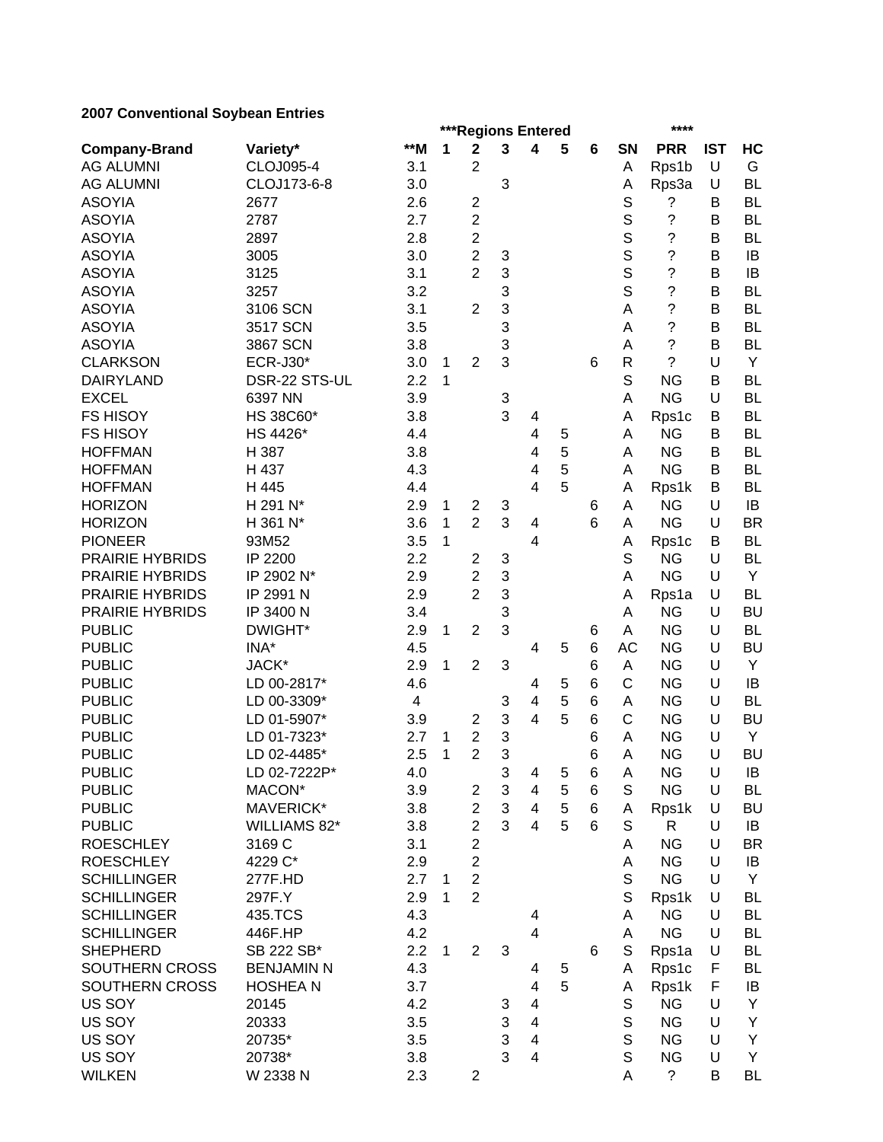# **2007 Conventional Soybean Entries**

|                        |                   |       |   |                         | ***Regions Entered        | ****                    |   |   |             |                    |            |           |
|------------------------|-------------------|-------|---|-------------------------|---------------------------|-------------------------|---|---|-------------|--------------------|------------|-----------|
| <b>Company-Brand</b>   | Variety*          | $**M$ | 1 | $\mathbf 2$             | 3                         | 4                       | 5 | 6 | <b>SN</b>   | <b>PRR</b>         | <b>IST</b> | HC        |
| <b>AG ALUMNI</b>       | <b>CLOJ095-4</b>  | 3.1   |   | $\overline{2}$          |                           |                         |   |   | A           | Rps1b              | U          | G         |
| <b>AG ALUMNI</b>       | CLOJ173-6-8       | 3.0   |   |                         | 3                         |                         |   |   | Α           | Rps3a              | U          | <b>BL</b> |
| <b>ASOYIA</b>          | 2677              | 2.6   |   | $\overline{2}$          |                           |                         |   |   | S           | ?                  | B          | <b>BL</b> |
| <b>ASOYIA</b>          | 2787              | 2.7   |   | $\overline{c}$          |                           |                         |   |   | S           | ?                  | в          | <b>BL</b> |
| <b>ASOYIA</b>          | 2897              | 2.8   |   | $\overline{c}$          |                           |                         |   |   | S           | $\ddot{\text{ }2}$ | B          | <b>BL</b> |
| <b>ASOYIA</b>          | 3005              | 3.0   |   | $\overline{2}$          | 3                         |                         |   |   | S           | $\ddot{\text{ }2}$ | B          | IB        |
| <b>ASOYIA</b>          | 3125              | 3.1   |   | $\overline{2}$          | 3                         |                         |   |   | S           | $\ddot{\text{ }2}$ | B          | IB        |
| <b>ASOYIA</b>          | 3257              | 3.2   |   |                         | 3                         |                         |   |   | S           | $\ddot{\text{ }2}$ | B          | <b>BL</b> |
| <b>ASOYIA</b>          | 3106 SCN          | 3.1   |   | $\overline{2}$          | 3                         |                         |   |   | A           | $\ddot{\text{ }2}$ | B          | <b>BL</b> |
| <b>ASOYIA</b>          | 3517 SCN          | 3.5   |   |                         | 3                         |                         |   |   | A           | $\ddot{\text{ }2}$ | B          | BL        |
| <b>ASOYIA</b>          | 3867 SCN          | 3.8   |   |                         | 3                         |                         |   |   | A           | $\ddot{\text{ }2}$ | B          | <b>BL</b> |
| <b>CLARKSON</b>        | <b>ECR-J30*</b>   | 3.0   | 1 | $\overline{2}$          | 3                         |                         |   | 6 | R           | ?                  | U          | Υ         |
| <b>DAIRYLAND</b>       | DSR-22 STS-UL     | 2.2   | 1 |                         |                           |                         |   |   | S           | <b>NG</b>          | Β          | <b>BL</b> |
| <b>EXCEL</b>           | 6397 NN           | 3.9   |   |                         | 3                         |                         |   |   | Α           | <b>NG</b>          | U          | <b>BL</b> |
| <b>FS HISOY</b>        | HS 38C60*         | 3.8   |   |                         | 3                         | 4                       |   |   | Α           | Rps1c              | Β          | <b>BL</b> |
| <b>FS HISOY</b>        | HS 4426*          | 4.4   |   |                         |                           | 4                       | 5 |   | A           | <b>NG</b>          | Β          | <b>BL</b> |
| <b>HOFFMAN</b>         | H 387             | 3.8   |   |                         |                           | 4                       | 5 |   | Α           | <b>NG</b>          | в          | <b>BL</b> |
| <b>HOFFMAN</b>         | H 437             | 4.3   |   |                         |                           | 4                       | 5 |   | A           | <b>NG</b>          | B          | <b>BL</b> |
| <b>HOFFMAN</b>         | H 445             | 4.4   |   |                         |                           | 4                       | 5 |   | A           | Rps1k              | B          | <b>BL</b> |
| <b>HORIZON</b>         | H 291 N*          | 2.9   | 1 | $\overline{2}$          | 3                         |                         |   | 6 | A           | <b>NG</b>          | U          | IB        |
| <b>HORIZON</b>         | H 361 N*          | 3.6   | 1 | $\overline{2}$          | 3                         | 4                       |   | 6 | Α           | <b>NG</b>          | U          | <b>BR</b> |
| <b>PIONEER</b>         | 93M52             | 3.5   | 1 |                         |                           | 4                       |   |   | A           | Rps1c              | B          | <b>BL</b> |
| <b>PRAIRIE HYBRIDS</b> | IP 2200           | 2.2   |   | $\overline{2}$          | 3                         |                         |   |   | S           | <b>NG</b>          | U          | <b>BL</b> |
| <b>PRAIRIE HYBRIDS</b> | IP 2902 N*        | 2.9   |   | $\overline{c}$          | 3                         |                         |   |   | Α           | <b>NG</b>          | U          | Y         |
| <b>PRAIRIE HYBRIDS</b> | IP 2991 N         | 2.9   |   | $\overline{2}$          | 3                         |                         |   |   | Α           | Rps1a              | U          | <b>BL</b> |
| <b>PRAIRIE HYBRIDS</b> | IP 3400 N         | 3.4   |   |                         | 3                         |                         |   |   | Α           | <b>NG</b>          | U          | <b>BU</b> |
| <b>PUBLIC</b>          | DWIGHT*           | 2.9   | 1 | $\overline{2}$          | 3                         |                         |   | 6 | A           | <b>NG</b>          | U          | <b>BL</b> |
| <b>PUBLIC</b>          | INA*              | 4.5   |   |                         |                           | 4                       | 5 | 6 | <b>AC</b>   | <b>NG</b>          | U          | <b>BU</b> |
| <b>PUBLIC</b>          | JACK*             | 2.9   | 1 | $\overline{c}$          | 3                         |                         |   | 6 | A           | <b>NG</b>          | U          | Y         |
| <b>PUBLIC</b>          | LD 00-2817*       | 4.6   |   |                         |                           | 4                       | 5 | 6 | C           | <b>NG</b>          | U          | IB        |
| <b>PUBLIC</b>          | LD 00-3309*       | 4     |   |                         | 3                         | 4                       | 5 | 6 | A           | <b>NG</b>          | U          | <b>BL</b> |
| <b>PUBLIC</b>          | LD 01-5907*       | 3.9   |   | $\overline{2}$          | 3                         | 4                       | 5 | 6 | C           | <b>NG</b>          | U          | <b>BU</b> |
| <b>PUBLIC</b>          | LD 01-7323*       | 2.7   | 1 | $\overline{2}$          | 3                         |                         |   | 6 | Α           | <b>NG</b>          | U          | Y         |
| <b>PUBLIC</b>          | LD 02-4485*       | 2.5   | 1 | $\overline{2}$          | 3                         |                         |   | 6 | Α           | <b>NG</b>          | U          | <b>BU</b> |
| <b>PUBLIC</b>          | LD 02-7222P*      | 4.0   |   |                         | 3                         | 4                       | 5 | 6 | A           | <b>NG</b>          | U          | IB        |
| <b>PUBLIC</b>          | MACON*            | 3.9   |   | $\overline{\mathbf{c}}$ | $\ensuremath{\mathsf{3}}$ | $\overline{\mathbf{4}}$ | 5 | 6 | $\mathbb S$ | <b>NG</b>          | U          | BL        |
| <b>PUBLIC</b>          | MAVERICK*         | 3.8   |   | $\overline{c}$          | 3                         | $\overline{4}$          | 5 | 6 | Α           | Rps1k              | U          | <b>BU</b> |
| <b>PUBLIC</b>          | WILLIAMS 82*      | 3.8   |   | $\overline{2}$          | 3                         | 4                       | 5 | 6 | S           | $\mathsf{R}$       | U          | IB        |
| <b>ROESCHLEY</b>       | 3169 C            | 3.1   |   | $\overline{2}$          |                           |                         |   |   | А           | <b>NG</b>          | U          | <b>BR</b> |
| <b>ROESCHLEY</b>       | 4229 C*           | 2.9   |   | $\overline{2}$          |                           |                         |   |   | A           | <b>NG</b>          | U          | IB        |
| <b>SCHILLINGER</b>     | 277F.HD           | 2.7   | 1 | $\overline{c}$          |                           |                         |   |   | S           | <b>NG</b>          | U          | Y         |
| <b>SCHILLINGER</b>     | 297F.Y            | 2.9   | 1 | $\overline{2}$          |                           |                         |   |   | S           | Rps1k              | U          | <b>BL</b> |
| <b>SCHILLINGER</b>     | 435.TCS           | 4.3   |   |                         |                           | 4                       |   |   | A           | <b>NG</b>          | U          | <b>BL</b> |
| <b>SCHILLINGER</b>     | 446F.HP           | 4.2   |   |                         |                           | $\overline{\mathbf{4}}$ |   |   | A           | <b>NG</b>          | U          | <b>BL</b> |
| <b>SHEPHERD</b>        | SB 222 SB*        | 2.2   | 1 | $\overline{2}$          | $\mathfrak{S}$            |                         |   | 6 | S           | Rps1a              | U          | <b>BL</b> |
| SOUTHERN CROSS         | <b>BENJAMIN N</b> | 4.3   |   |                         |                           | 4                       | 5 |   | A           | Rps1c              | F          | BL        |
| SOUTHERN CROSS         | <b>HOSHEAN</b>    | 3.7   |   |                         |                           | 4                       | 5 |   | Α           | Rps1k              | F          | IB        |
| US SOY                 | 20145             | 4.2   |   |                         | 3                         | 4                       |   |   | S           | <b>NG</b>          | U          | Y         |
| US SOY                 | 20333             | 3.5   |   |                         | $\ensuremath{\mathsf{3}}$ | 4                       |   |   | S           | <b>NG</b>          | U          | Y         |
| US SOY                 | 20735*            | 3.5   |   |                         | 3                         | $\overline{\mathbf{4}}$ |   |   | S           | <b>NG</b>          | U          | Y         |
| US SOY                 | 20738*            | 3.8   |   |                         | 3                         | 4                       |   |   | S           | <b>NG</b>          | U          | Y         |
| <b>WILKEN</b>          | W 2338 N          | 2.3   |   | 2                       |                           |                         |   |   | A           | $\tilde{?}$        | B          | BL        |